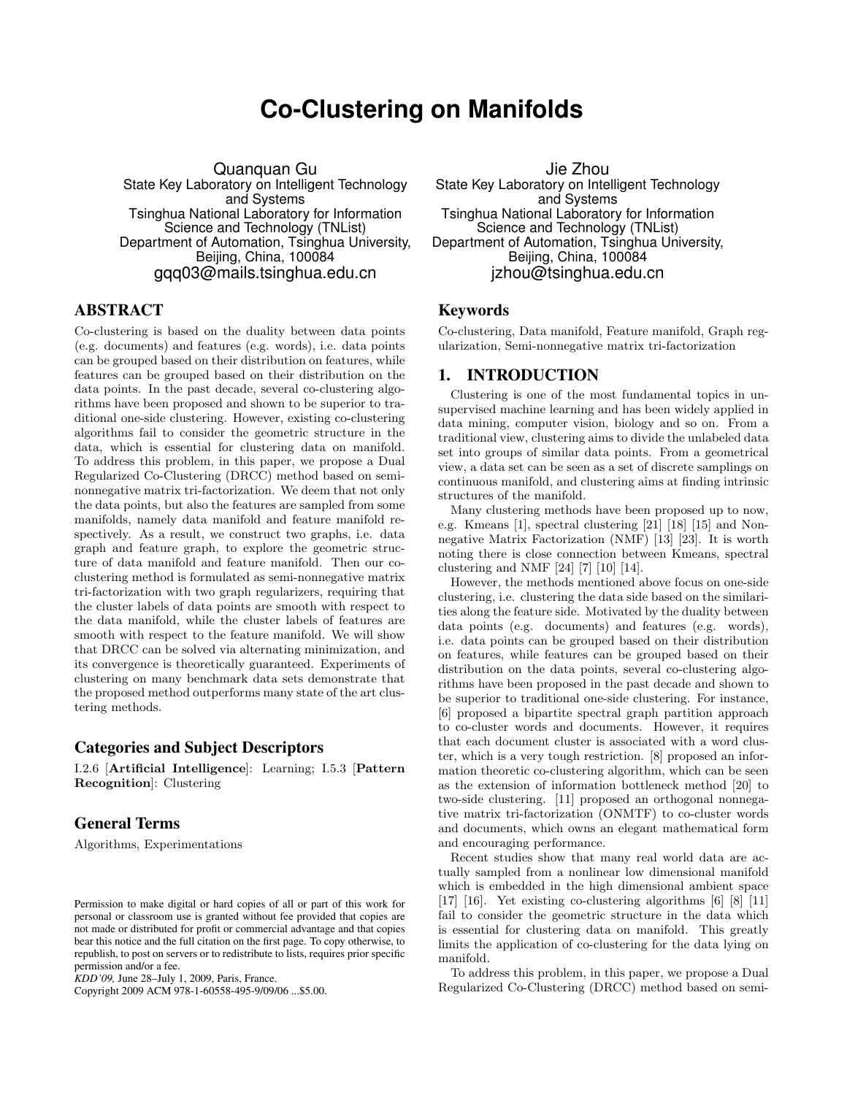# **Co-Clustering on Manifolds**

Quanquan Gu State Key Laboratory on Intelligent Technology and Systems Tsinghua National Laboratory for Information Science and Technology (TNList) Department of Automation, Tsinghua University, Beijing, China, 100084 gqq03@mails.tsinghua.edu.cn

# ABSTRACT

Co-clustering is based on the duality between data points (e.g. documents) and features (e.g. words), i.e. data points can be grouped based on their distribution on features, while features can be grouped based on their distribution on the data points. In the past decade, several co-clustering algorithms have been proposed and shown to be superior to traditional one-side clustering. However, existing co-clustering algorithms fail to consider the geometric structure in the data, which is essential for clustering data on manifold. To address this problem, in this paper, we propose a Dual Regularized Co-Clustering (DRCC) method based on seminonnegative matrix tri-factorization. We deem that not only the data points, but also the features are sampled from some manifolds, namely data manifold and feature manifold respectively. As a result, we construct two graphs, i.e. data graph and feature graph, to explore the geometric structure of data manifold and feature manifold. Then our coclustering method is formulated as semi-nonnegative matrix tri-factorization with two graph regularizers, requiring that the cluster labels of data points are smooth with respect to the data manifold, while the cluster labels of features are smooth with respect to the feature manifold. We will show that DRCC can be solved via alternating minimization, and its convergence is theoretically guaranteed. Experiments of clustering on many benchmark data sets demonstrate that the proposed method outperforms many state of the art clustering methods.

# Categories and Subject Descriptors

I.2.6 [Artificial Intelligence]: Learning; I.5.3 [Pattern Recognition]: Clustering

# General Terms

Algorithms, Experimentations

Copyright 2009 ACM 978-1-60558-495-9/09/06 ...\$5.00.

Jie Zhou State Key Laboratory on Intelligent Technology and Systems Tsinghua National Laboratory for Information Science and Technology (TNList) Department of Automation, Tsinghua University, Beijing, China, 100084 jzhou@tsinghua.edu.cn

# Keywords

Co-clustering, Data manifold, Feature manifold, Graph regularization, Semi-nonnegative matrix tri-factorization

# 1. INTRODUCTION

Clustering is one of the most fundamental topics in unsupervised machine learning and has been widely applied in data mining, computer vision, biology and so on. From a traditional view, clustering aims to divide the unlabeled data set into groups of similar data points. From a geometrical view, a data set can be seen as a set of discrete samplings on continuous manifold, and clustering aims at finding intrinsic structures of the manifold.

Many clustering methods have been proposed up to now, e.g. Kmeans [1], spectral clustering [21] [18] [15] and Nonnegative Matrix Factorization (NMF) [13] [23]. It is worth noting there is close connection between Kmeans, spectral clustering and NMF [24] [7] [10] [14].

However, the methods mentioned above focus on one-side clustering, i.e. clustering the data side based on the similarities along the feature side. Motivated by the duality between data points (e.g. documents) and features (e.g. words), i.e. data points can be grouped based on their distribution on features, while features can be grouped based on their distribution on the data points, several co-clustering algorithms have been proposed in the past decade and shown to be superior to traditional one-side clustering. For instance, [6] proposed a bipartite spectral graph partition approach to co-cluster words and documents. However, it requires that each document cluster is associated with a word cluster, which is a very tough restriction. [8] proposed an information theoretic co-clustering algorithm, which can be seen as the extension of information bottleneck method [20] to two-side clustering. [11] proposed an orthogonal nonnegative matrix tri-factorization (ONMTF) to co-cluster words and documents, which owns an elegant mathematical form and encouraging performance.

Recent studies show that many real world data are actually sampled from a nonlinear low dimensional manifold which is embedded in the high dimensional ambient space [17] [16]. Yet existing co-clustering algorithms [6] [8] [11] fail to consider the geometric structure in the data which is essential for clustering data on manifold. This greatly limits the application of co-clustering for the data lying on manifold.

To address this problem, in this paper, we propose a Dual Regularized Co-Clustering (DRCC) method based on semi-

Permission to make digital or hard copies of all or part of this work for personal or classroom use is granted without fee provided that copies are not made or distributed for profit or commercial advantage and that copies bear this notice and the full citation on the first page. To copy otherwise, to republish, to post on servers or to redistribute to lists, requires prior specific permission and/or a fee.

*KDD'09,* June 28–July 1, 2009, Paris, France.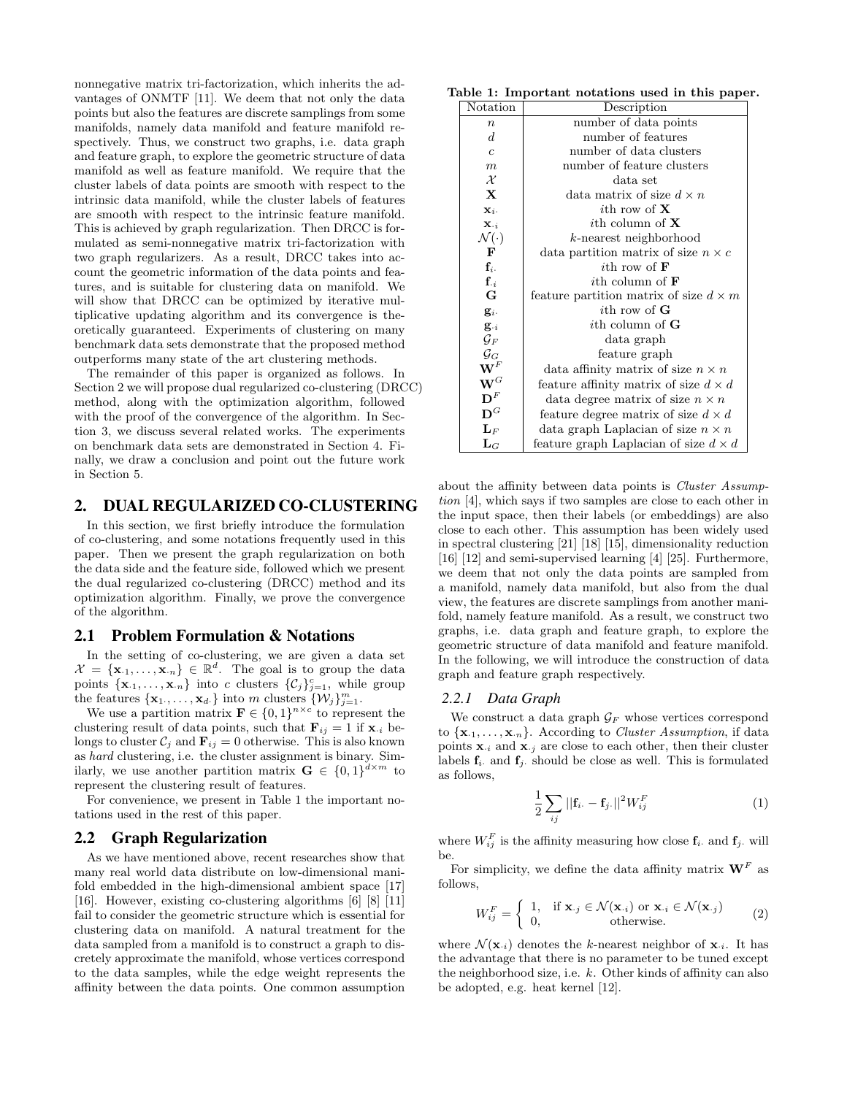nonnegative matrix tri-factorization, which inherits the advantages of ONMTF [11]. We deem that not only the data points but also the features are discrete samplings from some manifolds, namely data manifold and feature manifold respectively. Thus, we construct two graphs, i.e. data graph and feature graph, to explore the geometric structure of data manifold as well as feature manifold. We require that the cluster labels of data points are smooth with respect to the intrinsic data manifold, while the cluster labels of features are smooth with respect to the intrinsic feature manifold. This is achieved by graph regularization. Then DRCC is formulated as semi-nonnegative matrix tri-factorization with two graph regularizers. As a result, DRCC takes into account the geometric information of the data points and features, and is suitable for clustering data on manifold. We will show that DRCC can be optimized by iterative multiplicative updating algorithm and its convergence is theoretically guaranteed. Experiments of clustering on many benchmark data sets demonstrate that the proposed method outperforms many state of the art clustering methods.

The remainder of this paper is organized as follows. In Section 2 we will propose dual regularized co-clustering (DRCC) method, along with the optimization algorithm, followed with the proof of the convergence of the algorithm. In Section 3, we discuss several related works. The experiments on benchmark data sets are demonstrated in Section 4. Finally, we draw a conclusion and point out the future work in Section 5.

### 2. DUAL REGULARIZED CO-CLUSTERING

In this section, we first briefly introduce the formulation of co-clustering, and some notations frequently used in this paper. Then we present the graph regularization on both the data side and the feature side, followed which we present the dual regularized co-clustering (DRCC) method and its optimization algorithm. Finally, we prove the convergence of the algorithm.

### 2.1 Problem Formulation & Notations

In the setting of co-clustering, we are given a data set  $\mathcal{X} = {\mathbf{x}_{1}, ..., \mathbf{x}_{n}} \in \mathbb{R}^{d}$ . The goal is to group the data points  $\{x_1, \ldots, x_n\}$  into c clusters  $\{\mathcal{C}_j\}_{j=1}^c$ , while group the features  $\{x_1, \ldots, x_d\}$  into m clusters  $\{W_j\}_{j=1}^m$ .

We use a partition matrix  $\mathbf{F} \in \{0,1\}^{n \times c}$  to represent the clustering result of data points, such that  $\mathbf{F}_{ij} = 1$  if  $\mathbf{x}_{\cdot i}$  belongs to cluster  $C_j$  and  $\mathbf{F}_{ij} = 0$  otherwise. This is also known as hard clustering, i.e. the cluster assignment is binary. Similarly, we use another partition matrix  $\mathbf{G} \in \{0,1\}^{d \times m}$  to represent the clustering result of features.

For convenience, we present in Table 1 the important notations used in the rest of this paper.

### 2.2 Graph Regularization

As we have mentioned above, recent researches show that many real world data distribute on low-dimensional manifold embedded in the high-dimensional ambient space [17] [16]. However, existing co-clustering algorithms [6] [8] [11] fail to consider the geometric structure which is essential for clustering data on manifold. A natural treatment for the data sampled from a manifold is to construct a graph to discretely approximate the manifold, whose vertices correspond to the data samples, while the edge weight represents the affinity between the data points. One common assumption

Table 1: Important notations used in this paper.

| Notation               | Description                                   |  |  |  |  |  |
|------------------------|-----------------------------------------------|--|--|--|--|--|
| $\boldsymbol{n}$       | number of data points                         |  |  |  |  |  |
|                        | number of features                            |  |  |  |  |  |
| d                      |                                               |  |  |  |  |  |
| $\overline{c}$         | number of data clusters                       |  |  |  |  |  |
| $\boldsymbol{m}$       | number of feature clusters                    |  |  |  |  |  |
| $\mathcal{X}$          | data set                                      |  |  |  |  |  |
| $\mathbf{X}$           | data matrix of size $d \times n$              |  |  |  |  |  |
| $\mathbf{x}_i$ .       | <i>i</i> th row of $X$                        |  |  |  |  |  |
| $\mathbf{x}_{\cdot i}$ | <i>i</i> th column of $X$                     |  |  |  |  |  |
| $\mathcal{N}(\cdot)$   | k-nearest neighborhood                        |  |  |  |  |  |
| F                      | data partition matrix of size $n \times c$    |  |  |  |  |  |
| $f_i$ .                | ith row of $\bf{F}$                           |  |  |  |  |  |
| $f_{\cdot i}$          | <i>i</i> th column of $\bf{F}$                |  |  |  |  |  |
| G                      | feature partition matrix of size $d \times m$ |  |  |  |  |  |
| $\mathbf{g}_i$ .       | ith row of $G$                                |  |  |  |  |  |
| $\mathbf{g}_{\cdot i}$ | <i>i</i> th column of $G$                     |  |  |  |  |  |
| $\mathcal{G}_F$        | data graph                                    |  |  |  |  |  |
| $\mathcal{G}_G$        | feature graph                                 |  |  |  |  |  |
| $\mathbf{W}^F$         | data affinity matrix of size $n \times n$     |  |  |  |  |  |
| $\mathbf{W}^G$         | feature affinity matrix of size $d \times d$  |  |  |  |  |  |
| $\mathbf{D}^F$         | data degree matrix of size $n \times n$       |  |  |  |  |  |
| $\mathbf{D}^{G}$       | feature degree matrix of size $d \times d$    |  |  |  |  |  |
| $\mathbf{L}_F$         | data graph Laplacian of size $n \times n$     |  |  |  |  |  |
| $\mathbf{L}_G$         | feature graph Laplacian of size $d \times d$  |  |  |  |  |  |

about the affinity between data points is Cluster Assumption [4], which says if two samples are close to each other in the input space, then their labels (or embeddings) are also close to each other. This assumption has been widely used in spectral clustering [21] [18] [15], dimensionality reduction [16] [12] and semi-supervised learning [4] [25]. Furthermore, we deem that not only the data points are sampled from a manifold, namely data manifold, but also from the dual view, the features are discrete samplings from another manifold, namely feature manifold. As a result, we construct two graphs, i.e. data graph and feature graph, to explore the geometric structure of data manifold and feature manifold. In the following, we will introduce the construction of data graph and feature graph respectively.

#### *2.2.1 Data Graph*

We construct a data graph  $\mathcal{G}_F$  whose vertices correspond to  $\{x_1, \ldots, x_n\}$ . According to *Cluster Assumption*, if data points  $\mathbf{x}_{i}$  and  $\mathbf{x}_{j}$  are close to each other, then their cluster labels  $f_i$  and  $f_j$  should be close as well. This is formulated as follows,

$$
\frac{1}{2} \sum_{ij} ||\mathbf{f}_{i\cdot} - \mathbf{f}_{j\cdot}||^2 W_{ij}^F
$$
 (1)

where  $W_{ij}^F$  is the affinity measuring how close  $\mathbf{f}_i$  and  $\mathbf{f}_j$  will be.

For simplicity, we define the data affinity matrix  $\mathbf{W}^F$  as follows,

$$
W_{ij}^F = \begin{cases} 1, & \text{if } \mathbf{x}_{\cdot j} \in \mathcal{N}(\mathbf{x}_{\cdot i}) \text{ or } \mathbf{x}_{\cdot i} \in \mathcal{N}(\mathbf{x}_{\cdot j})\\ 0, & \text{otherwise.} \end{cases} \tag{2}
$$

where  $\mathcal{N}(\mathbf{x}_{i})$  denotes the k-nearest neighbor of  $\mathbf{x}_{i}$ . It has the advantage that there is no parameter to be tuned except the neighborhood size, i.e.  $k$ . Other kinds of affinity can also be adopted, e.g. heat kernel [12].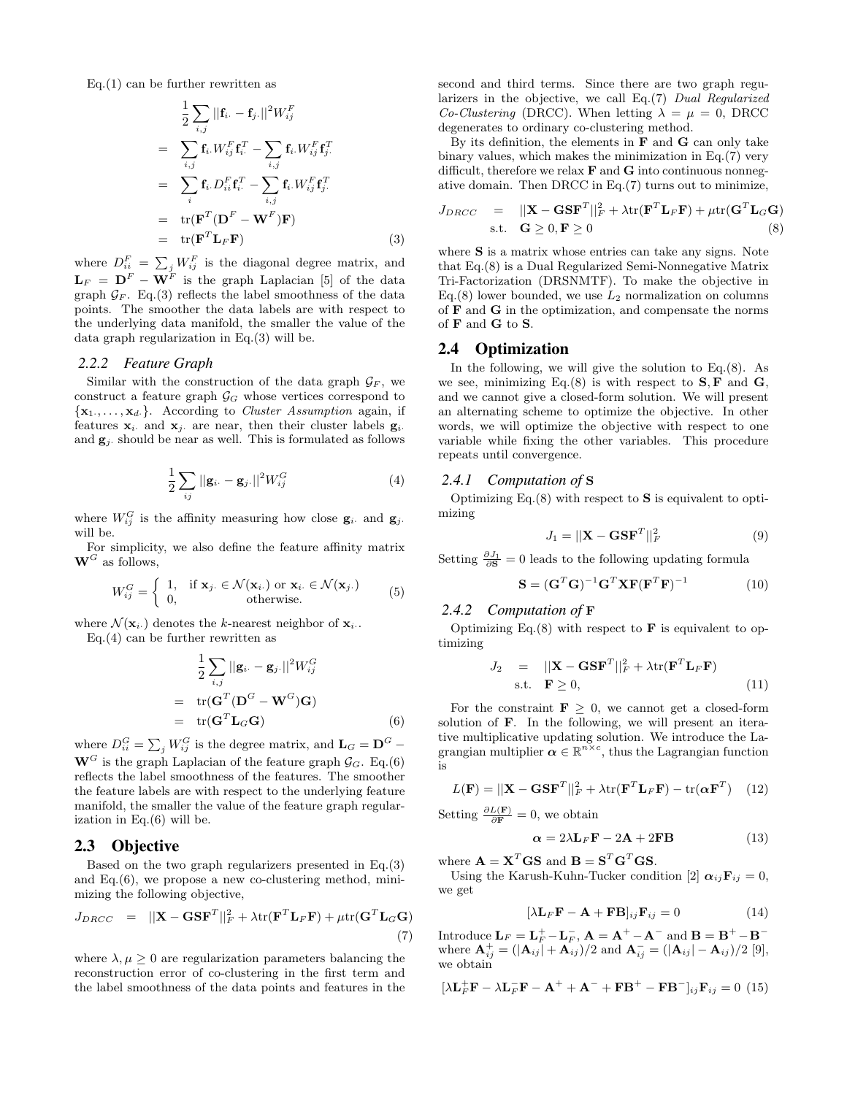$Eq.(1)$  can be further rewritten as

$$
\frac{1}{2} \sum_{i,j} ||\mathbf{f}_{i.} - \mathbf{f}_{j.}||^{2} W_{ij}^{F}
$$
\n
$$
= \sum_{i,j} \mathbf{f}_{i.} W_{ij}^{F} \mathbf{f}_{i.}^{T} - \sum_{i,j} \mathbf{f}_{i.} W_{ij}^{F} \mathbf{f}_{j.}^{T}
$$
\n
$$
= \sum_{i} \mathbf{f}_{i.} D_{ii}^{F} \mathbf{f}_{i.}^{T} - \sum_{i,j} \mathbf{f}_{i.} W_{ij}^{F} \mathbf{f}_{j.}^{T}
$$
\n
$$
= \text{tr}(\mathbf{F}^{T} (\mathbf{D}^{F} - \mathbf{W}^{F}) \mathbf{F})
$$
\n
$$
= \text{tr}(\mathbf{F}^{T} \mathbf{L}_{F} \mathbf{F}) \tag{3}
$$

where  $D_{ii}^F = \sum_j W_{ij}^F$  is the diagonal degree matrix, and  ${\bf L}_F = {\bf D}^F - {\bf W}^F$  is the graph Laplacian [5] of the data graph  $\mathcal{G}_F$ . Eq.(3) reflects the label smoothness of the data points. The smoother the data labels are with respect to the underlying data manifold, the smaller the value of the data graph regularization in Eq.(3) will be.

### *2.2.2 Feature Graph*

Similar with the construction of the data graph  $\mathcal{G}_F$ , we construct a feature graph  $\mathcal{G}_G$  whose vertices correspond to  ${x_1, \ldots, x_d}$ . According to *Cluster Assumption* again, if features  $x_i$  and  $x_j$  are near, then their cluster labels  $g_i$ . and  $g_i$  should be near as well. This is formulated as follows

$$
\frac{1}{2} \sum_{ij} ||\mathbf{g}_{i\cdot} - \mathbf{g}_{j\cdot}||^{2} W_{ij}^{G}
$$
 (4)

where  $W_{ij}^G$  is the affinity measuring how close  $\mathbf{g}_i$  and  $\mathbf{g}_j$ . will be.

For simplicity, we also define the feature affinity matrix  $\mathbf{W}^G$  as follows,

$$
W_{ij}^G = \begin{cases} 1, & \text{if } \mathbf{x}_{j\cdot} \in \mathcal{N}(\mathbf{x}_{i\cdot}) \text{ or } \mathbf{x}_{i\cdot} \in \mathcal{N}(\mathbf{x}_{j\cdot}) \\ 0, & \text{otherwise.} \end{cases} \tag{5}
$$

where  $\mathcal{N}(\mathbf{x}_i)$  denotes the k-nearest neighbor of  $\mathbf{x}_i$ .

 $Eq.(4)$  can be further rewritten as

$$
\frac{1}{2} \sum_{i,j} ||\mathbf{g}_i - \mathbf{g}_j||^2 W_{ij}^G
$$
\n
$$
= \text{tr}(\mathbf{G}^T (\mathbf{D}^G - \mathbf{W}^G) \mathbf{G})
$$
\n
$$
= \text{tr}(\mathbf{G}^T \mathbf{L}_G \mathbf{G}) \tag{6}
$$

where  $D_{ii}^G = \sum_j W_{ij}^G$  is the degree matrix, and  $\mathbf{L}_G = \mathbf{D}^G$  –  $\mathbf{W}^{G}$  is the graph Laplacian of the feature graph  $\mathcal{G}_{G}$ . Eq.(6) reflects the label smoothness of the features. The smoother the feature labels are with respect to the underlying feature manifold, the smaller the value of the feature graph regularization in  $Eq.(6)$  will be.

### 2.3 Objective

Based on the two graph regularizers presented in Eq.(3) and Eq.(6), we propose a new co-clustering method, minimizing the following objective,

$$
J_{DRCC} = ||\mathbf{X} - \mathbf{G}\mathbf{S}\mathbf{F}^{T}||_{F}^{2} + \lambda \text{tr}(\mathbf{F}^{T}\mathbf{L}_{F}\mathbf{F}) + \mu \text{tr}(\mathbf{G}^{T}\mathbf{L}_{G}\mathbf{G})
$$
\n(7)

where  $\lambda, \mu \geq 0$  are regularization parameters balancing the reconstruction error of co-clustering in the first term and the label smoothness of the data points and features in the second and third terms. Since there are two graph regularizers in the objective, we call Eq.(7) Dual Regularized Co-Clustering (DRCC). When letting  $\lambda = \mu = 0$ , DRCC degenerates to ordinary co-clustering method.

By its definition, the elements in  $\bf{F}$  and  $\bf{G}$  can only take binary values, which makes the minimization in Eq.(7) very difficult, therefore we relax  $\bf{F}$  and  $\bf{G}$  into continuous nonnegative domain. Then DRCC in Eq.(7) turns out to minimize,

$$
J_{DRCC} = ||\mathbf{X} - \mathbf{G}\mathbf{S}\mathbf{F}^{T}||_{F}^{2} + \lambda \text{tr}(\mathbf{F}^{T}\mathbf{L}_{F}\mathbf{F}) + \mu \text{tr}(\mathbf{G}^{T}\mathbf{L}_{G}\mathbf{G})
$$
  
s.t.  $\mathbf{G} \ge 0, \mathbf{F} \ge 0$  (8)

where **S** is a matrix whose entries can take any signs. Note that Eq.(8) is a Dual Regularized Semi-Nonnegative Matrix Tri-Factorization (DRSNMTF). To make the objective in Eq.(8) lower bounded, we use  $L_2$  normalization on columns of F and G in the optimization, and compensate the norms of F and G to S.

### 2.4 Optimization

In the following, we will give the solution to Eq.(8). As we see, minimizing Eq.(8) is with respect to  $S$ , F and  $G$ , and we cannot give a closed-form solution. We will present an alternating scheme to optimize the objective. In other words, we will optimize the objective with respect to one variable while fixing the other variables. This procedure repeats until convergence.

### *2.4.1 Computation of* S

Optimizing Eq. $(8)$  with respect to S is equivalent to optimizing

$$
J_1 = ||\mathbf{X} - \mathbf{G}\mathbf{S}\mathbf{F}^T||_F^2 \tag{9}
$$

Setting  $\frac{\partial J_1}{\partial S} = 0$  leads to the following updating formula

$$
\mathbf{S} = (\mathbf{G}^T \mathbf{G})^{-1} \mathbf{G}^T \mathbf{X} \mathbf{F} (\mathbf{F}^T \mathbf{F})^{-1}
$$
(10)

# *2.4.2 Computation of* F

Optimizing Eq.(8) with respect to  $\bf{F}$  is equivalent to optimizing

$$
J_2 = ||\mathbf{X} - \mathbf{G}\mathbf{S}\mathbf{F}^T||_F^2 + \lambda \text{tr}(\mathbf{F}^T \mathbf{L}_F \mathbf{F})
$$
  
s.t.  $\mathbf{F} \ge 0$ , (11)

For the constraint  $\mathbf{F} \geq 0$ , we cannot get a closed-form solution of F. In the following, we will present an iterative multiplicative updating solution. We introduce the Lagrangian multiplier  $\alpha \in \mathbb{R}^{n \times c}$ , thus the Lagrangian function is

$$
L(\mathbf{F}) = ||\mathbf{X} - \mathbf{G}\mathbf{S}\mathbf{F}^T||_F^2 + \lambda \text{tr}(\mathbf{F}^T \mathbf{L}_F \mathbf{F}) - \text{tr}(\boldsymbol{\alpha} \mathbf{F}^T) \quad (12)
$$

Setting  $\frac{\partial L(\mathbf{F})}{\partial \mathbf{F}} = 0$ , we obtain

$$
\alpha = 2\lambda \mathbf{L}_F \mathbf{F} - 2\mathbf{A} + 2\mathbf{F} \mathbf{B} \tag{13}
$$

where  $\mathbf{A} = \mathbf{X}^T \mathbf{G} \mathbf{S}$  and  $\mathbf{B} = \mathbf{S}^T \mathbf{G}^T \mathbf{G} \mathbf{S}$ .

Using the Karush-Kuhn-Tucker condition [2]  $\alpha_{ij}F_{ij} = 0$ , we get

$$
[\lambda \mathbf{L}_F \mathbf{F} - \mathbf{A} + \mathbf{F} \mathbf{B}]_{ij} \mathbf{F}_{ij} = 0 \tag{14}
$$

Introduce  $\mathbf{L}_F = \mathbf{L}_F^+ - \mathbf{L}_F^-$ ,  $\mathbf{A} = \mathbf{A}^+ - \mathbf{A}^-$  and  $\mathbf{B} = \mathbf{B}^+ - \mathbf{B}^$ where  $A_{ij}^{+} = (|A_{ij}| + A_{ij})/2$  and  $A_{ij}^{-} = (|A_{ij}| - A_{ij})/2$  [9], we obtain

$$
[\lambda \mathbf{L}_F^+ \mathbf{F} - \lambda \mathbf{L}_F^- \mathbf{F} - \mathbf{A}^+ + \mathbf{A}^- + \mathbf{F} \mathbf{B}^+ - \mathbf{F} \mathbf{B}^-]_{ij} \mathbf{F}_{ij} = 0 \tag{15}
$$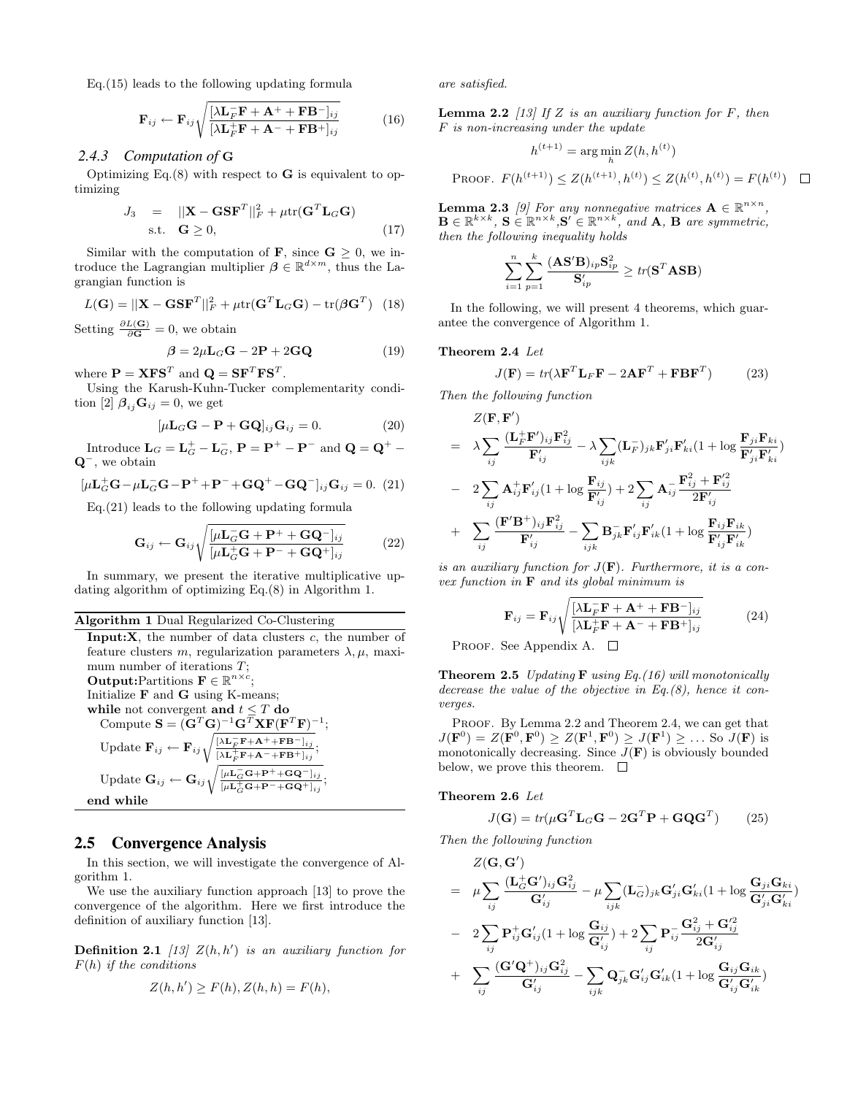Eq.(15) leads to the following updating formula

$$
\mathbf{F}_{ij} \leftarrow \mathbf{F}_{ij} \sqrt{\frac{[\lambda \mathbf{L}_F^- \mathbf{F} + \mathbf{A}^+ + \mathbf{F} \mathbf{B}^-]_{ij}}{[\lambda \mathbf{L}_F^+ \mathbf{F} + \mathbf{A}^- + \mathbf{F} \mathbf{B}^+]_{ij}}}
$$
(16)

#### *2.4.3 Computation of* G

Optimizing Eq. $(8)$  with respect to **G** is equivalent to optimizing

$$
J_3 = ||\mathbf{X} - \mathbf{G}\mathbf{S}\mathbf{F}^T||_F^2 + \mu \text{tr}(\mathbf{G}^T \mathbf{L}_G \mathbf{G})
$$
  
s.t.  $\mathbf{G} \ge 0$ , (17)

Similar with the computation of **F**, since  $\mathbf{G} \geq 0$ , we introduce the Lagrangian multiplier  $\beta \in \mathbb{R}^{d \times m}$ , thus the Lagrangian function is

$$
L(\mathbf{G}) = ||\mathbf{X} - \mathbf{G}\mathbf{S}\mathbf{F}^T||_F^2 + \mu \text{tr}(\mathbf{G}^T \mathbf{L}_G \mathbf{G}) - \text{tr}(\beta \mathbf{G}^T) \quad (18)
$$

Setting  $\frac{\partial L(\mathbf{G})}{\partial \mathbf{G}} = 0$ , we obtain

$$
\beta = 2\mu L_G \mathbf{G} - 2\mathbf{P} + 2\mathbf{G}\mathbf{Q} \tag{19}
$$

where  $\mathbf{P} = \mathbf{X} \mathbf{F} \mathbf{S}^T$  and  $\mathbf{Q} = \mathbf{S} \mathbf{F}^T \mathbf{F} \mathbf{S}^T$ .

Using the Karush-Kuhn-Tucker complementarity condition [2]  $\beta_{ij}$ **G**<sub>ij</sub> = 0, we get

$$
[\mu \mathbf{L}_G \mathbf{G} - \mathbf{P} + \mathbf{G} \mathbf{Q}]_{ij} \mathbf{G}_{ij} = 0.
$$
 (20)

Introduce  ${\bf L}_G = {\bf L}_G^+ - {\bf L}_G^-$ ,  ${\bf P} = {\bf P}^+ - {\bf P}^-$  and  ${\bf Q} = {\bf Q}^+ \mathbf{Q}^-$ , we obtain

$$
[\mu \mathbf{L}_G^+ \mathbf{G} - \mu \mathbf{L}_G^- \mathbf{G} - \mathbf{P}^+ + \mathbf{P}^- + \mathbf{G} \mathbf{Q}^+ - \mathbf{G} \mathbf{Q}^-]_{ij} \mathbf{G}_{ij} = 0. (21)
$$

Eq.(21) leads to the following updating formula

$$
\mathbf{G}_{ij} \leftarrow \mathbf{G}_{ij} \sqrt{\frac{\left[\mu \mathbf{L}_{G}^{-} \mathbf{G} + \mathbf{P}^{+} + \mathbf{G} \mathbf{Q}^{-}\right]_{ij}}{\left[\mu \mathbf{L}_{G}^{+} \mathbf{G} + \mathbf{P}^{-} + \mathbf{G} \mathbf{Q}^{+}\right]_{ij}}}
$$
(22)

In summary, we present the iterative multiplicative updating algorithm of optimizing Eq.(8) in Algorithm 1.

#### Algorithm 1 Dual Regularized Co-Clustering

**Input:X**, the number of data clusters  $c$ , the number of feature clusters m, regularization parameters  $\lambda, \mu$ , maximum number of iterations  $T$ ; **Output:**Partitions  $\mathbf{F} \in \mathbb{R}^{n \times c}$ ; Initialize  **and**  $**G**$  **using K-means;** while not convergent and  $t \leq T$  do  $\begin{aligned} \text{Compute } \mathbf{S} = (\mathbf{\overline{G}}^T\mathbf{G})^{-1}\mathbf{G}^T\mathbf{X}\mathbf{F}(\mathbf{F}^T\mathbf{F})^{-1}; \ \text{Update } \mathbf{F}_{ij} \leftarrow \mathbf{F}_{ij}\sqrt{\frac{[\lambda\mathbf{L}_F^T\mathbf{F} + \mathbf{A}^+ + \mathbf{F}\mathbf{B}^-]_{ij}}{[\lambda\mathbf{L}_F^+ \mathbf{F} + \mathbf{A}^- + \mathbf{F}\mathbf{B}^+]_{ij}}}; \end{aligned}$  $\text{Update } \mathbf{G}_{ij} \leftarrow \mathbf{G}_{ij} \sqrt{\frac{[\mu \mathbf{L}_{G}^{-} \mathbf{G} + \mathbf{P}^{+} + \mathbf{G} \mathbf{Q}^{-}]_{ij}}{[\mu \mathbf{L}_{G}^{+} \mathbf{G} + \mathbf{P}^{-} + \mathbf{G} \mathbf{Q}^{+}]_{ij}}};$ end while

# 2.5 Convergence Analysis

In this section, we will investigate the convergence of Algorithm 1.

We use the auxiliary function approach [13] to prove the convergence of the algorithm. Here we first introduce the definition of auxiliary function [13].

**Definition 2.1** [13]  $Z(h, h')$  is an auxiliary function for  $F(h)$  if the conditions

$$
Z(h, h') \ge F(h), Z(h, h) = F(h),
$$

are satisfied.

**Lemma 2.2** [13] If Z is an auxiliary function for F, then F is non-increasing under the update

$$
h^{(t+1)} = \arg\min_{h} Z(h, h^{(t)})
$$

PROOF. 
$$
F(h^{(t+1)}) \leq Z(h^{(t+1)}, h^{(t)}) \leq Z(h^{(t)}, h^{(t)}) = F(h^{(t)}) \quad \Box
$$

**Lemma 2.3** [9] For any nonnegative matrices  $A \in \mathbb{R}^{n \times n}$ ,  $\mathbf{B} \in \mathbb{R}^{k \times k}$ ,  $\mathbf{S} \in \mathbb{R}^{n \times k}$ ,  $\mathbf{S}' \in \mathbb{R}^{n \times k}$ , and **A**, **B** are symmetric, then the following inequality holds

$$
\sum_{i=1}^n \sum_{p=1}^k \frac{(\mathbf{A}\mathbf{S}'\mathbf{B})_{ip}\mathbf{S}_{ip}^2}{\mathbf{S}_{ip}'} \ge tr(\mathbf{S}^T\mathbf{A}\mathbf{S}\mathbf{B})
$$

In the following, we will present 4 theorems, which guarantee the convergence of Algorithm 1.

#### Theorem 2.4 Let

$$
J(\mathbf{F}) = tr(\lambda \mathbf{F}^T \mathbf{L}_F \mathbf{F} - 2\mathbf{A} \mathbf{F}^T + \mathbf{F} \mathbf{B} \mathbf{F}^T)
$$
 (23)

Then the following function

$$
Z(\mathbf{F}, \mathbf{F}')
$$
\n
$$
= \lambda \sum_{ij} \frac{(\mathbf{L}_{F}^{+} \mathbf{F}')_{ij} \mathbf{F}_{ij}^{2}}{\mathbf{F}'_{ij}} - \lambda \sum_{ijk} (\mathbf{L}_{F}^{-})_{jk} \mathbf{F}'_{ji} \mathbf{F}'_{ki} (1 + \log \frac{\mathbf{F}_{ji} \mathbf{F}_{ki}}{\mathbf{F}'_{ji} \mathbf{F}'_{ki}})
$$
\n
$$
- 2 \sum_{ij} \mathbf{A}_{ij}^{+} \mathbf{F}'_{ij} (1 + \log \frac{\mathbf{F}_{ij}}{\mathbf{F}'_{ij}}) + 2 \sum_{ij} \mathbf{A}_{ij}^{-} \frac{\mathbf{F}_{ij}^{2} + \mathbf{F}'_{ij}^{2}}{2 \mathbf{F}'_{ij}}
$$
\n
$$
+ \sum_{ij} \frac{(\mathbf{F}' \mathbf{B}^{+})_{ij} \mathbf{F}_{ij}^{2}}{\mathbf{F}'_{ij}} - \sum_{ijk} \mathbf{B}_{jk}^{-} \mathbf{F}'_{ij} \mathbf{F}'_{ik} (1 + \log \frac{\mathbf{F}_{ij} \mathbf{F}_{ik}}{\mathbf{F}'_{ij} \mathbf{F}'_{ik}})
$$

is an auxiliary function for  $J(\mathbf{F})$ . Furthermore, it is a convex function in  $\bf{F}$  and its global minimum is

$$
\mathbf{F}_{ij} = \mathbf{F}_{ij} \sqrt{\frac{[\lambda \mathbf{L}_F^- \mathbf{F} + \mathbf{A}^+ + \mathbf{F} \mathbf{B}^-]_{ij}}{[\lambda \mathbf{L}_F^+ \mathbf{F} + \mathbf{A}^- + \mathbf{F} \mathbf{B}^+]_{ij}}}
$$
(24)

PROOF. See Appendix A.  $\square$ 

**Theorem 2.5** Updating  $\bf{F}$  using Eq.(16) will monotonically decrease the value of the objective in Eq.(8), hence it converges.

PROOF. By Lemma 2.2 and Theorem 2.4, we can get that  $J(\mathbf{F}^{0}) = Z(\mathbf{F}^{0}, \mathbf{F}^{0}) \geq Z(\mathbf{F}^{1}, \mathbf{F}^{0}) \geq J(\mathbf{F}^{1}) \geq \dots$  So  $J(\mathbf{F})$  is monotonically decreasing. Since  $J(\mathbf{F})$  is obviously bounded below, we prove this theorem.  $\Box$ 

Theorem 2.6 Let

$$
J(\mathbf{G}) = tr(\mu \mathbf{G}^T \mathbf{L}_G \mathbf{G} - 2\mathbf{G}^T \mathbf{P} + \mathbf{G} \mathbf{Q} \mathbf{G}^T)
$$
 (25)

Then the following function  $\overline{a}$ 

$$
Z(\mathbf{G}, \mathbf{G}') = \mu \sum_{ij} \frac{(\mathbf{L}_{G}^{+} \mathbf{G}')_{ij} \mathbf{G}_{ij}^{2}}{\mathbf{G}'_{ij}} - \mu \sum_{ijk} (\mathbf{L}_{G}^{-})_{jk} \mathbf{G}'_{ji} \mathbf{G}'_{ki} (1 + \log \frac{\mathbf{G}_{ji} \mathbf{G}_{ki}}{\mathbf{G}'_{ji} \mathbf{G}'_{ki}})
$$
  
-  $2 \sum_{ij} \mathbf{P}_{ij}^{+} \mathbf{G}'_{ij} (1 + \log \frac{\mathbf{G}_{ij}}{\mathbf{G}'_{ij}}) + 2 \sum_{ij} \mathbf{P}_{ij}^{-} \frac{\mathbf{G}_{ij}^{2} + \mathbf{G}'_{ij}^{2}}{2 \mathbf{G}'_{ij}} + \sum_{ij} \frac{(\mathbf{G}' \mathbf{Q}^{+})_{ij} \mathbf{G}_{ij}^{2}}{\mathbf{G}'_{ij}} - \sum_{ijk} \mathbf{Q}_{jk}^{-} \mathbf{G}'_{ij} \mathbf{G}'_{ik} (1 + \log \frac{\mathbf{G}_{ij} \mathbf{G}_{ik}}{\mathbf{G}'_{ij} \mathbf{G}'_{ik}})$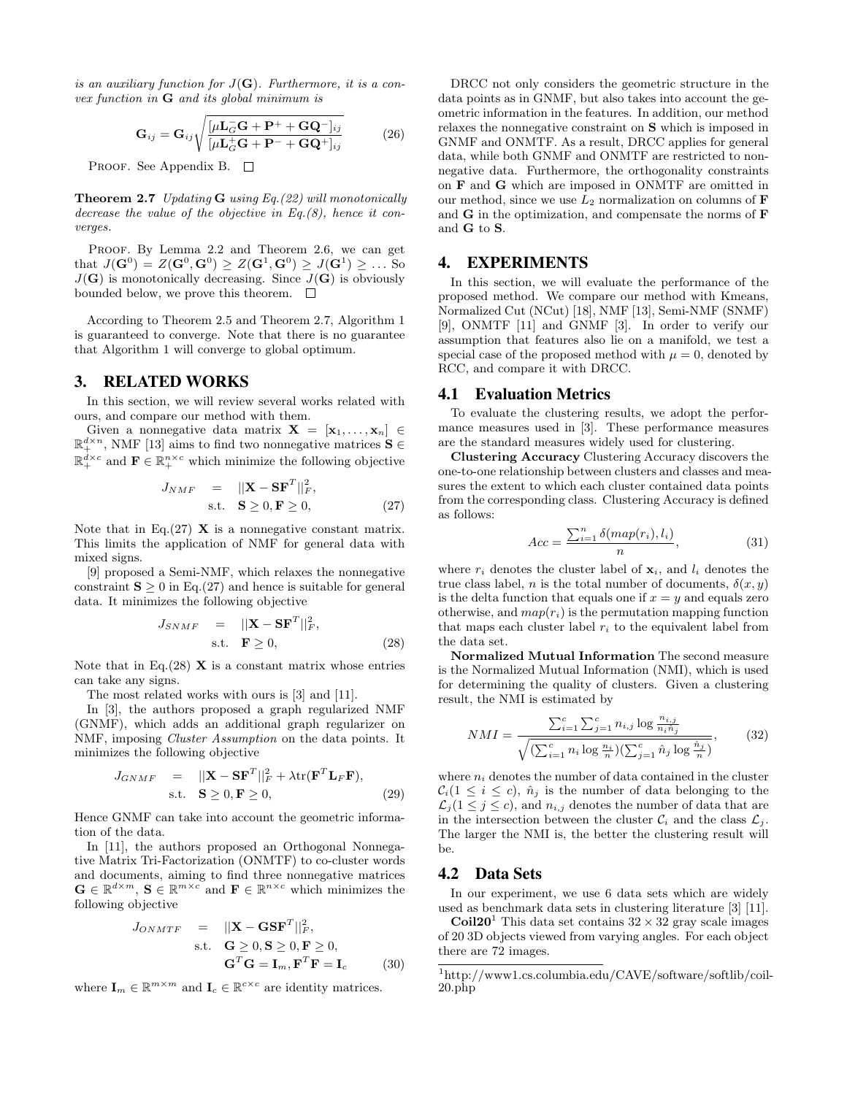is an auxiliary function for  $J(\mathbf{G})$ . Furthermore, it is a convex function in  $G$  and its global minimum is

$$
\mathbf{G}_{ij} = \mathbf{G}_{ij} \sqrt{\frac{\left[\mu \mathbf{L}_{G}^{-} \mathbf{G} + \mathbf{P}^{+} + \mathbf{G} \mathbf{Q}^{-}\right]_{ij}}{\left[\mu \mathbf{L}_{G}^{+} \mathbf{G} + \mathbf{P}^{-} + \mathbf{G} \mathbf{Q}^{+}\right]_{ij}}}
$$
(26)

PROOF. See Appendix B.  $\Box$ 

Theorem 2.7 Updating G using Eq.(22) will monotonically decrease the value of the objective in Eq.(8), hence it converges.

PROOF. By Lemma 2.2 and Theorem 2.6, we can get that  $J(\mathbf{G}^0) = Z(\mathbf{G}^0, \mathbf{G}^0) \geq Z(\mathbf{G}^1, \mathbf{G}^0) \geq J(\mathbf{G}^1) \geq \dots$  So  $J(\mathbf{G})$  is monotonically decreasing. Since  $J(\mathbf{G})$  is obviously bounded below, we prove this theorem.  $\Box$ 

According to Theorem 2.5 and Theorem 2.7, Algorithm 1 is guaranteed to converge. Note that there is no guarantee that Algorithm 1 will converge to global optimum.

# 3. RELATED WORKS

In this section, we will review several works related with ours, and compare our method with them.

Given a nonnegative data matrix  $\mathbf{X} = [\mathbf{x}_1, \dots, \mathbf{x}_n] \in$  $\mathbb{R}^{d \times n}_+$ , NMF [13] aims to find two nonnegative matrices  $\mathbf{S} \in \mathbb{R}^{d \times n}$  $\mathbb{R}^{d \times c}_+$  and  $\mathbf{F} \in \mathbb{R}^{n \times c}_+$  which minimize the following objective

$$
J_{NMF} = ||\mathbf{X} - \mathbf{S}\mathbf{F}^{T}||_{F}^{2},
$$
  
s.t.  $\mathbf{S} \ge 0, \mathbf{F} \ge 0,$  (27)

Note that in Eq.(27)  $\bf{X}$  is a nonnegative constant matrix. This limits the application of NMF for general data with mixed signs.

[9] proposed a Semi-NMF, which relaxes the nonnegative constraint  $S > 0$  in Eq.(27) and hence is suitable for general data. It minimizes the following objective

$$
J_{SNMF} = ||\mathbf{X} - \mathbf{S} \mathbf{F}^T||_F^2,
$$
  
s.t.  $\mathbf{F} \ge 0,$  (28)

Note that in Eq.(28)  $X$  is a constant matrix whose entries can take any signs.

The most related works with ours is [3] and [11].

In [3], the authors proposed a graph regularized NMF (GNMF), which adds an additional graph regularizer on NMF, imposing Cluster Assumption on the data points. It minimizes the following objective

$$
J_{GNMF} = ||\mathbf{X} - \mathbf{S} \mathbf{F}^T||_F^2 + \lambda \text{tr}(\mathbf{F}^T \mathbf{L}_F \mathbf{F}),
$$
  
s.t.  $\mathbf{S} \ge 0, \mathbf{F} \ge 0,$  (29)

Hence GNMF can take into account the geometric information of the data.

In [11], the authors proposed an Orthogonal Nonnegative Matrix Tri-Factorization (ONMTF) to co-cluster words and documents, aiming to find three nonnegative matrices  $\mathbf{G} \in \mathbb{R}^{d \times m}$ ,  $\mathbf{S} \in \mathbb{R}^{m \times c}$  and  $\mathbf{F} \in \mathbb{R}^{n \times c}$  which minimizes the following objective

$$
J_{ONMTF} = ||\mathbf{X} - \mathbf{GSF}^{T}||_{F}^{2},
$$
  
s.t. 
$$
\mathbf{G} \ge 0, \mathbf{S} \ge 0, \mathbf{F} \ge 0,
$$

$$
\mathbf{G}^{T}\mathbf{G} = \mathbf{I}_{m}, \mathbf{F}^{T}\mathbf{F} = \mathbf{I}_{c}
$$
(30)

where  $\mathbf{I}_m \in \mathbb{R}^{m \times m}$  and  $\mathbf{I}_c \in \mathbb{R}^{c \times c}$  are identity matrices.

DRCC not only considers the geometric structure in the data points as in GNMF, but also takes into account the geometric information in the features. In addition, our method relaxes the nonnegative constraint on S which is imposed in GNMF and ONMTF. As a result, DRCC applies for general data, while both GNMF and ONMTF are restricted to nonnegative data. Furthermore, the orthogonality constraints on F and G which are imposed in ONMTF are omitted in our method, since we use  $L_2$  normalization on columns of  $\bf{F}$ and G in the optimization, and compensate the norms of F and G to S.

# 4. EXPERIMENTS

In this section, we will evaluate the performance of the proposed method. We compare our method with Kmeans, Normalized Cut (NCut) [18], NMF [13], Semi-NMF (SNMF) [9], ONMTF [11] and GNMF [3]. In order to verify our assumption that features also lie on a manifold, we test a special case of the proposed method with  $\mu = 0$ , denoted by RCC, and compare it with DRCC.

# 4.1 Evaluation Metrics

To evaluate the clustering results, we adopt the performance measures used in [3]. These performance measures are the standard measures widely used for clustering.

Clustering Accuracy Clustering Accuracy discovers the one-to-one relationship between clusters and classes and measures the extent to which each cluster contained data points from the corresponding class. Clustering Accuracy is defined as follows:

$$
Acc = \frac{\sum_{i=1}^{n} \delta(map(r_i), l_i)}{n}, \tag{31}
$$

where  $r_i$  denotes the cluster label of  $\mathbf{x}_i$ , and  $l_i$  denotes the true class label, n is the total number of documents,  $\delta(x, y)$ is the delta function that equals one if  $x = y$  and equals zero otherwise, and  $map(r_i)$  is the permutation mapping function that maps each cluster label  $r_i$  to the equivalent label from the data set.

Normalized Mutual Information The second measure is the Normalized Mutual Information (NMI), which is used for determining the quality of clusters. Given a clustering result, the NMI is estimated by

$$
NMI = \frac{\sum_{i=1}^{c} \sum_{j=1}^{c} n_{i,j} \log \frac{n_{i,j}}{n_i \hat{n}_j}}{\sqrt{(\sum_{i=1}^{c} n_i \log \frac{n_i}{n})(\sum_{j=1}^{c} \hat{n}_j \log \frac{\hat{n}_j}{n})}},
$$
(32)

where  $n_i$  denotes the number of data contained in the cluster  $C_i(1 \leq i \leq c)$ ,  $\hat{n}_j$  is the number of data belonging to the  $\mathcal{L}_j$  ( $1 \leq j \leq c$ ), and  $n_{i,j}$  denotes the number of data that are in the intersection between the cluster  $\mathcal{C}_i$  and the class  $\mathcal{L}_j$ . The larger the NMI is, the better the clustering result will be.

### 4.2 Data Sets

In our experiment, we use 6 data sets which are widely used as benchmark data sets in clustering literature [3] [11].

**Coil20**<sup>1</sup> This data set contains  $32 \times 32$  gray scale images of 20 3D objects viewed from varying angles. For each object there are 72 images.

<sup>1</sup>http://www1.cs.columbia.edu/CAVE/software/softlib/coil-20.php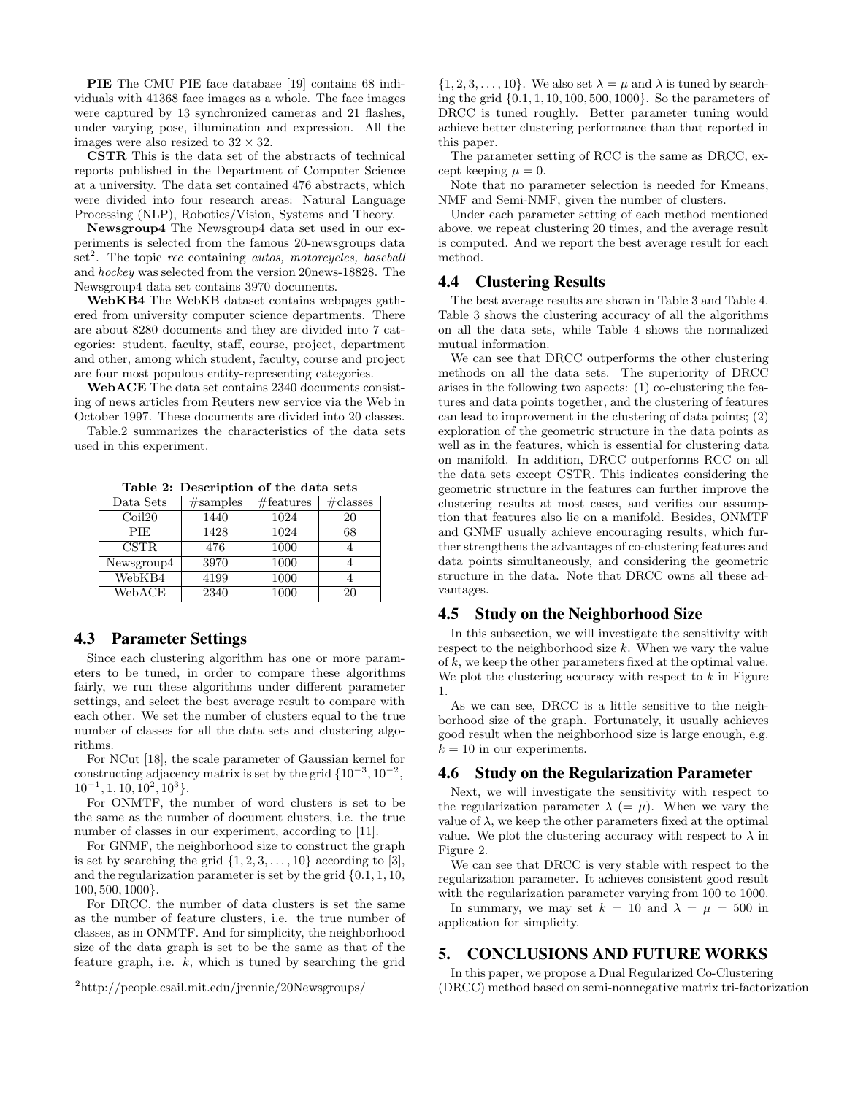PIE The CMU PIE face database [19] contains 68 individuals with 41368 face images as a whole. The face images were captured by 13 synchronized cameras and 21 flashes, under varying pose, illumination and expression. All the images were also resized to  $32 \times 32$ .

CSTR This is the data set of the abstracts of technical reports published in the Department of Computer Science at a university. The data set contained 476 abstracts, which were divided into four research areas: Natural Language Processing (NLP), Robotics/Vision, Systems and Theory.

Newsgroup4 The Newsgroup4 data set used in our experiments is selected from the famous 20-newsgroups data  $\text{Set}^2$ . The topic rec containing *autos*, motorcycles, baseball and hockey was selected from the version 20news-18828. The Newsgroup4 data set contains 3970 documents.

WebKB4 The WebKB dataset contains webpages gathered from university computer science departments. There are about 8280 documents and they are divided into 7 categories: student, faculty, staff, course, project, department and other, among which student, faculty, course and project are four most populous entity-representing categories.

WebACE The data set contains 2340 documents consisting of news articles from Reuters new service via the Web in October 1997. These documents are divided into 20 classes.

Table.2 summarizes the characteristics of the data sets used in this experiment.

| $\frac{1}{2}$      |          |           |                    |  |  |  |  |  |
|--------------------|----------|-----------|--------------------|--|--|--|--|--|
| Data Sets          | #samples | #features | $\#\text{classes}$ |  |  |  |  |  |
| Coil <sub>20</sub> | 1440     | 1024      | 20                 |  |  |  |  |  |
| PIE                | 1428     | 1024      | 68                 |  |  |  |  |  |
| <b>CSTR</b>        | 476      | 1000      |                    |  |  |  |  |  |
| Newsgroup4         | 3970     | 1000      |                    |  |  |  |  |  |
| WebKB4             | 4199     | 1000      |                    |  |  |  |  |  |
| WebACE             | 2340     | 1000      | 20                 |  |  |  |  |  |

Table 2: Description of the data sets

# 4.3 Parameter Settings

Since each clustering algorithm has one or more parameters to be tuned, in order to compare these algorithms fairly, we run these algorithms under different parameter settings, and select the best average result to compare with each other. We set the number of clusters equal to the true number of classes for all the data sets and clustering algorithms.

For NCut [18], the scale parameter of Gaussian kernel for constructing adjacency matrix is set by the grid  $\{10^{-3}, 10^{-2}, \}$  $10^{-1}$ , 1, 10,  $10^{2}$ ,  $10^{3}$ .

For ONMTF, the number of word clusters is set to be the same as the number of document clusters, i.e. the true number of classes in our experiment, according to [11].

For GNMF, the neighborhood size to construct the graph is set by searching the grid  $\{1, 2, 3, \ldots, 10\}$  according to [3], and the regularization parameter is set by the grid {0.1, 1, 10, 100, 500, 1000}.

For DRCC, the number of data clusters is set the same as the number of feature clusters, i.e. the true number of classes, as in ONMTF. And for simplicity, the neighborhood size of the data graph is set to be the same as that of the feature graph, i.e.  $k$ , which is tuned by searching the grid

 $\{1, 2, 3, \ldots, 10\}$ . We also set  $\lambda = \mu$  and  $\lambda$  is tuned by searching the grid {0.1, 1, 10, 100, 500, 1000}. So the parameters of DRCC is tuned roughly. Better parameter tuning would achieve better clustering performance than that reported in this paper.

The parameter setting of RCC is the same as DRCC, except keeping  $\mu = 0$ .

Note that no parameter selection is needed for Kmeans, NMF and Semi-NMF, given the number of clusters.

Under each parameter setting of each method mentioned above, we repeat clustering 20 times, and the average result is computed. And we report the best average result for each method.

# 4.4 Clustering Results

The best average results are shown in Table 3 and Table 4. Table 3 shows the clustering accuracy of all the algorithms on all the data sets, while Table 4 shows the normalized mutual information.

We can see that DRCC outperforms the other clustering methods on all the data sets. The superiority of DRCC arises in the following two aspects: (1) co-clustering the features and data points together, and the clustering of features can lead to improvement in the clustering of data points; (2) exploration of the geometric structure in the data points as well as in the features, which is essential for clustering data on manifold. In addition, DRCC outperforms RCC on all the data sets except CSTR. This indicates considering the geometric structure in the features can further improve the clustering results at most cases, and verifies our assumption that features also lie on a manifold. Besides, ONMTF and GNMF usually achieve encouraging results, which further strengthens the advantages of co-clustering features and data points simultaneously, and considering the geometric structure in the data. Note that DRCC owns all these advantages.

# 4.5 Study on the Neighborhood Size

In this subsection, we will investigate the sensitivity with respect to the neighborhood size  $k$ . When we vary the value of  $k$ , we keep the other parameters fixed at the optimal value. We plot the clustering accuracy with respect to  $k$  in Figure 1.

As we can see, DRCC is a little sensitive to the neighborhood size of the graph. Fortunately, it usually achieves good result when the neighborhood size is large enough, e.g.  $k = 10$  in our experiments.

# 4.6 Study on the Regularization Parameter

Next, we will investigate the sensitivity with respect to the regularization parameter  $\lambda (= \mu)$ . When we vary the value of  $\lambda$ , we keep the other parameters fixed at the optimal value. We plot the clustering accuracy with respect to  $\lambda$  in Figure 2.

We can see that DRCC is very stable with respect to the regularization parameter. It achieves consistent good result with the regularization parameter varying from 100 to 1000.

In summary, we may set  $k = 10$  and  $\lambda = \mu = 500$  in application for simplicity.

# 5. CONCLUSIONS AND FUTURE WORKS

In this paper, we propose a Dual Regularized Co-Clustering (DRCC) method based on semi-nonnegative matrix tri-factorization

<sup>2</sup>http://people.csail.mit.edu/jrennie/20Newsgroups/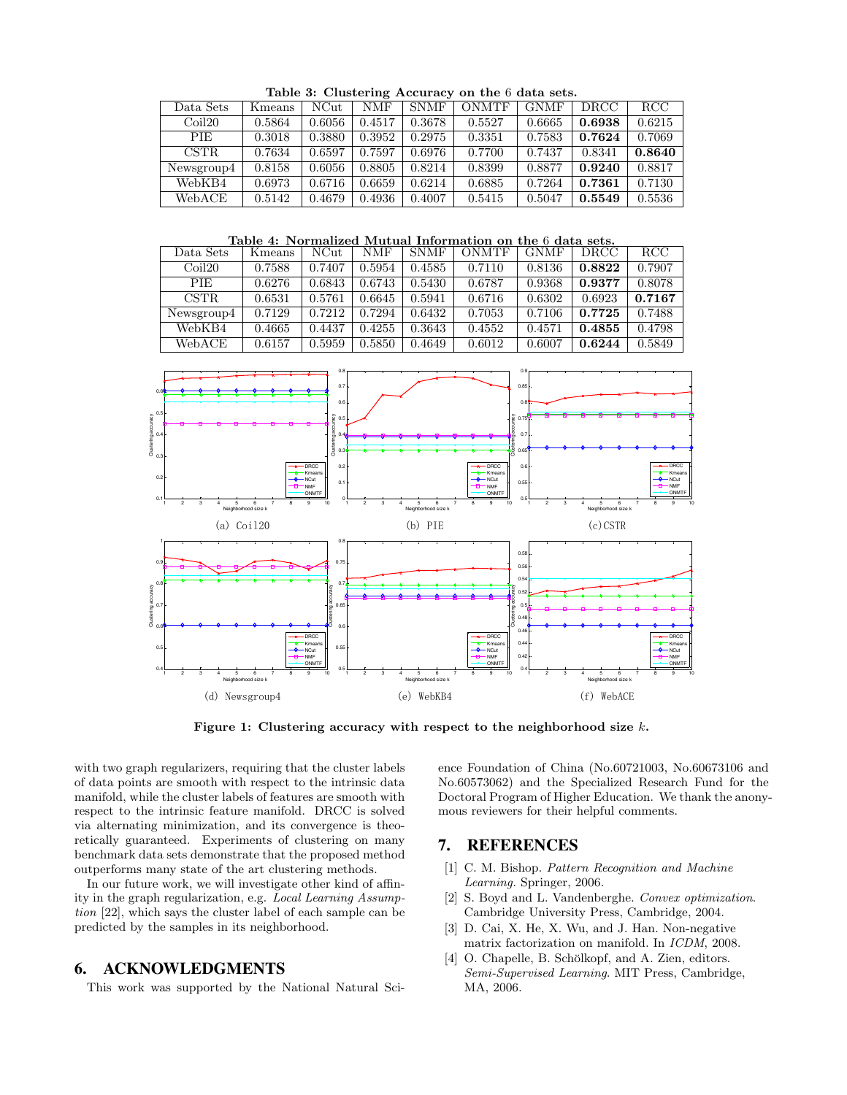Table 3: Clustering Accuracy on the 6 data sets.

| Data Sets          | Kmeans | NCut   | <b>NMF</b> | <b>SNMF</b> | <b>ONMTF</b> | <b>GNMF</b> | <b>DRCC</b> | RCC    |
|--------------------|--------|--------|------------|-------------|--------------|-------------|-------------|--------|
| Coil <sub>20</sub> | 0.5864 | 0.6056 | 0.4517     | 0.3678      | 0.5527       | 0.6665      | 0.6938      | 0.6215 |
| <b>PIE</b>         | 0.3018 | 0.3880 | 0.3952     | 0.2975      | 0.3351       | 0.7583      | 0.7624      | 0.7069 |
| CSTR.              | 0.7634 | 0.6597 | 0.7597     | 0.6976      | 0.7700       | 0.7437      | 0.8341      | 0.8640 |
| Newsgroup4         | 0.8158 | 0.6056 | 0.8805     | 0.8214      | 0.8399       | 0.8877      | 0.9240      | 0.8817 |
| WebKB4             | 0.6973 | 0.6716 | 0.6659     | 0.6214      | 0.6885       | 0.7264      | 0.7361      | 0.7130 |
| WebACE             | 0.5142 | 0.4679 | 0.4936     | 0.4007      | 0.5415       | 0.5047      | 0.5549      | 0.5536 |

Table 4: Normalized Mutual Information on the 6 data sets.

| Data Sets  | Kmeans | $_{\rm NCut}$ | NMF    | <b>SNMF</b> | ONMTF  | <b>GNMF</b> | <b>DRCC</b> | RCC    |
|------------|--------|---------------|--------|-------------|--------|-------------|-------------|--------|
| Coil20     | 0.7588 | 0.7407        | 0.5954 | 0.4585      | 0.7110 | 0.8136      | 0.8822      | 0.7907 |
| PIE.       | 0.6276 | 0.6843        | 0.6743 | 0.5430      | 0.6787 | 0.9368      | 0.9377      | 0.8078 |
| CSTR.      | 0.6531 | 0.5761        | 0.6645 | 0.5941      | 0.6716 | 0.6302      | 0.6923      | 0.7167 |
| Newsgroup4 | 0.7129 | 0.7212        | 0.7294 | 0.6432      | 0.7053 | 0.7106      | 0.7725      | 0.7488 |
| WebKB4     | 0.4665 | 0.4437        | 0.4255 | 0.3643      | 0.4552 | 0.4571      | 0.4855      | 0.4798 |
| WebACE     | 0.6157 | 0.5959        | 0.5850 | 0.4649      | 0.6012 | 0.6007      | 0.6244      | 0.5849 |



Figure 1: Clustering accuracy with respect to the neighborhood size  $k$ .

with two graph regularizers, requiring that the cluster labels of data points are smooth with respect to the intrinsic data manifold, while the cluster labels of features are smooth with respect to the intrinsic feature manifold. DRCC is solved via alternating minimization, and its convergence is theoretically guaranteed. Experiments of clustering on many benchmark data sets demonstrate that the proposed method outperforms many state of the art clustering methods.

In our future work, we will investigate other kind of affinity in the graph regularization, e.g. Local Learning Assumption [22], which says the cluster label of each sample can be predicted by the samples in its neighborhood.

# 6. ACKNOWLEDGMENTS

This work was supported by the National Natural Sci-

ence Foundation of China (No.60721003, No.60673106 and No.60573062) and the Specialized Research Fund for the Doctoral Program of Higher Education. We thank the anonymous reviewers for their helpful comments.

# 7. REFERENCES

- [1] C. M. Bishop. Pattern Recognition and Machine Learning. Springer, 2006.
- [2] S. Boyd and L. Vandenberghe. Convex optimization. Cambridge University Press, Cambridge, 2004.
- [3] D. Cai, X. He, X. Wu, and J. Han. Non-negative matrix factorization on manifold. In ICDM, 2008.
- [4] O. Chapelle, B. Schölkopf, and A. Zien, editors. Semi-Supervised Learning. MIT Press, Cambridge, MA, 2006.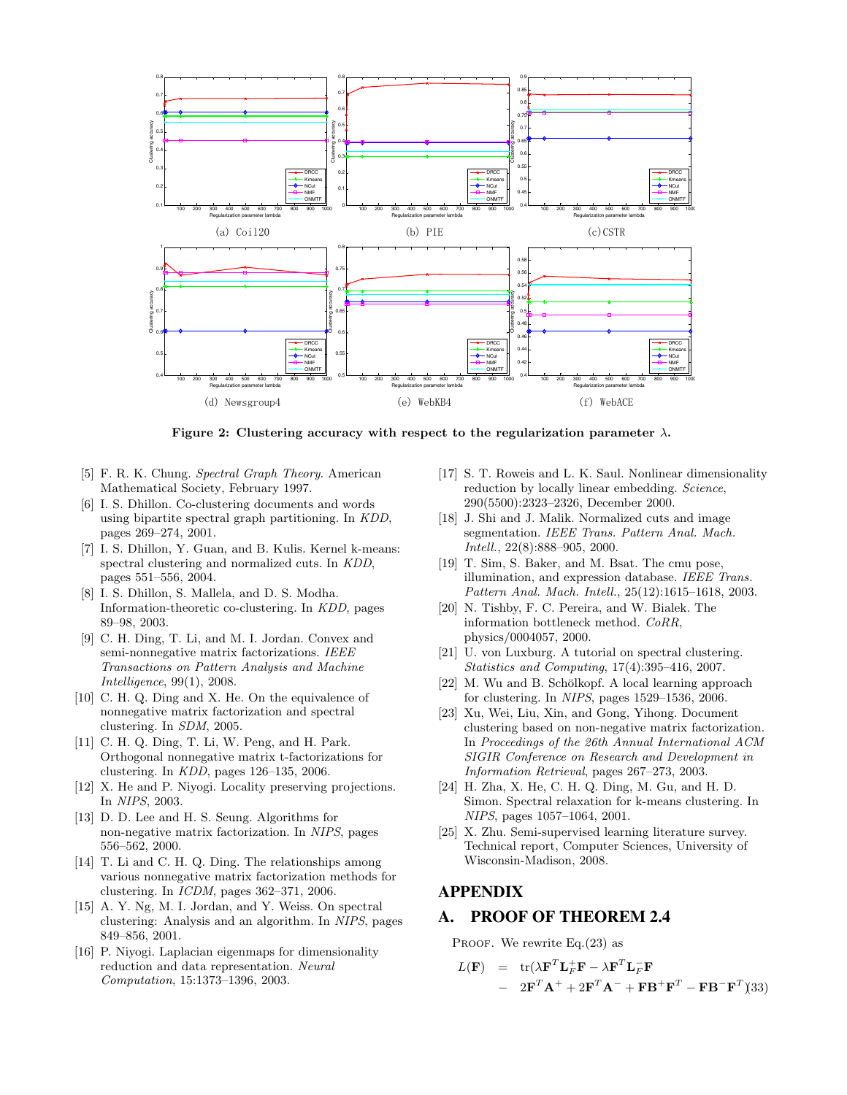

Figure 2: Clustering accuracy with respect to the regularization parameter  $\lambda$ .

- [5] F. R. K. Chung. Spectral Graph Theory. American Mathematical Society, February 1997.
- [6] I. S. Dhillon. Co-clustering documents and words using bipartite spectral graph partitioning. In KDD, pages 269–274, 2001.
- [7] I. S. Dhillon, Y. Guan, and B. Kulis. Kernel k-means: spectral clustering and normalized cuts. In KDD, pages 551–556, 2004.
- [8] I. S. Dhillon, S. Mallela, and D. S. Modha. Information-theoretic co-clustering. In KDD, pages 89–98, 2003.
- [9] C. H. Ding, T. Li, and M. I. Jordan. Convex and semi-nonnegative matrix factorizations. IEEE Transactions on Pattern Analysis and Machine Intelligence, 99(1), 2008.
- [10] C. H. Q. Ding and X. He. On the equivalence of nonnegative matrix factorization and spectral clustering. In SDM, 2005.
- [11] C. H. Q. Ding, T. Li, W. Peng, and H. Park. Orthogonal nonnegative matrix t-factorizations for clustering. In KDD, pages 126–135, 2006.
- [12] X. He and P. Niyogi. Locality preserving projections. In NIPS, 2003.
- [13] D. D. Lee and H. S. Seung. Algorithms for non-negative matrix factorization. In NIPS, pages 556–562, 2000.
- [14] T. Li and C. H. Q. Ding. The relationships among various nonnegative matrix factorization methods for clustering. In ICDM, pages 362–371, 2006.
- [15] A. Y. Ng, M. I. Jordan, and Y. Weiss. On spectral clustering: Analysis and an algorithm. In NIPS, pages 849–856, 2001.
- [16] P. Niyogi. Laplacian eigenmaps for dimensionality reduction and data representation. Neural Computation, 15:1373–1396, 2003.
- [17] S. T. Roweis and L. K. Saul. Nonlinear dimensionality reduction by locally linear embedding. Science, 290(5500):2323–2326, December 2000.
- [18] J. Shi and J. Malik. Normalized cuts and image segmentation. IEEE Trans. Pattern Anal. Mach. Intell., 22(8):888-905, 2000.
- [19] T. Sim, S. Baker, and M. Bsat. The cmu pose, illumination, and expression database. IEEE Trans. Pattern Anal. Mach. Intell., 25(12):1615–1618, 2003.
- [20] N. Tishby, F. C. Pereira, and W. Bialek. The information bottleneck method. CoRR, physics/0004057, 2000.
- [21] U. von Luxburg. A tutorial on spectral clustering. Statistics and Computing, 17(4):395–416, 2007.
- [22] M. Wu and B. Schölkopf. A local learning approach for clustering. In NIPS, pages 1529–1536, 2006.
- [23] Xu, Wei, Liu, Xin, and Gong, Yihong. Document clustering based on non-negative matrix factorization. In Proceedings of the 26th Annual International ACM SIGIR Conference on Research and Development in Information Retrieval, pages 267–273, 2003.
- [24] H. Zha, X. He, C. H. Q. Ding, M. Gu, and H. D. Simon. Spectral relaxation for k-means clustering. In NIPS, pages 1057–1064, 2001.
- [25] X. Zhu. Semi-supervised learning literature survey. Technical report, Computer Sciences, University of Wisconsin-Madison, 2008.

# APPENDIX

# A. PROOF OF THEOREM 2.4

PROOF. We rewrite  $Eq.(23)$  as

$$
L(\mathbf{F}) = \text{tr}(\lambda \mathbf{F}^T \mathbf{L}_F^+ \mathbf{F} - \lambda \mathbf{F}^T \mathbf{L}_F^- \mathbf{F}
$$
  
- 2 $\mathbf{F}^T \mathbf{A}^+ + 2\mathbf{F}^T \mathbf{A}^- + \mathbf{F} \mathbf{B}^+ \mathbf{F}^T - \mathbf{F} \mathbf{B}^- \mathbf{F}^T$  (33)